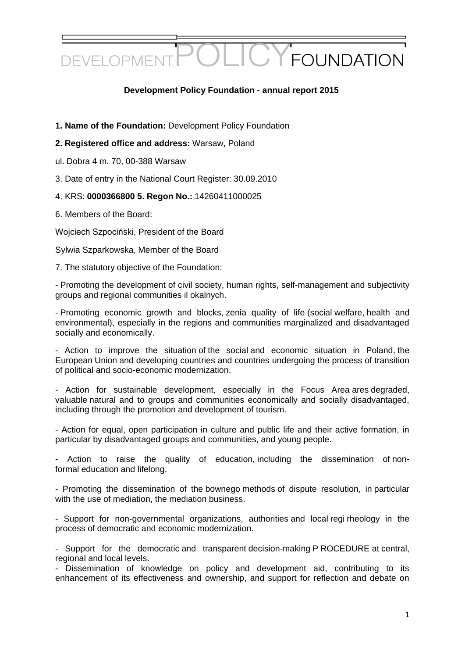### **Development Policy Foundation - annual report 2015**

- **1. Name of the Foundation:** Development Policy Foundation
- **2. Registered office and address:** Warsaw, Poland
- ul. Dobra 4 m. 70, 00-388 Warsaw
- 3. Date of entry in the National Court Register: 30.09.2010
- 4. KRS: **0000366800 5. Regon No.:** 14260411000025
- 6. Members of the Board:

Wojciech Szpociński, President of the Board

Sylwia Szparkowska, Member of the Board

7. The statutory objective of the Foundation:

- Promoting the development of civil society, human rights, self-management and subjectivity groups and regional communities il okalnych.

- Promoting economic growth and blocks, zenia quality of life (social welfare, health and environmental), especially in the regions and communities marginalized and disadvantaged socially and economically.

- Action to improve the situation of the social and economic situation in Poland, the European Union and developing countries and countries undergoing the process of transition of political and socio-economic modernization.

- Action for sustainable development, especially in the Focus Area ares degraded, valuable natural and to groups and communities economically and socially disadvantaged, including through the promotion and development of tourism.

- Action for equal, open participation in culture and public life and their active formation, in particular by disadvantaged groups and communities, and young people.

Action to raise the quality of education, including the dissemination of nonformal education and lifelong.

- Promoting the dissemination of the bownego methods of dispute resolution, in particular with the use of mediation, the mediation business.

- Support for non-governmental organizations, authorities and local regi rheology in the process of democratic and economic modernization.

- Support for the democratic and transparent decision-making P ROCEDURE at central, regional and local levels.

- Dissemination of knowledge on policy and development aid, contributing to its enhancement of its effectiveness and ownership, and support for reflection and debate on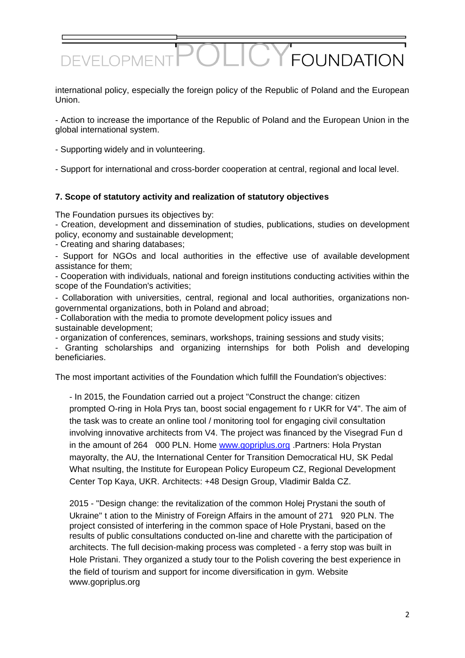international policy, especially the foreign policy of the Republic of Poland and the European Union.

- Action to increase the importance of the Republic of Poland and the European Union in the global international system.

- Supporting widely and in volunteering.

- Support for international and cross-border cooperation at central, regional and local level.

#### **7. Scope of statutory activity and realization of statutory objectives**

The Foundation pursues its objectives by:

- Creation, development and dissemination of studies, publications, studies on development policy, economy and sustainable development;

- Creating and sharing databases;

- Support for NGOs and local authorities in the effective use of available development assistance for them;

- Cooperation with individuals, national and foreign institutions conducting activities within the scope of the Foundation's activities;

- Collaboration with universities, central, regional and local authorities, organizations nongovernmental organizations, both in Poland and abroad;

- Collaboration with the media to promote development policy issues and sustainable development;

- organization of conferences, seminars, workshops, training sessions and study visits;

- Granting scholarships and organizing internships for both Polish and developing beneficiaries.

The most important activities of the Foundation which fulfill the Foundation's objectives:

- In 2015, the Foundation carried out a project "Construct the change: citizen prompted O-ring in Hola Prys tan, boost social engagement fo r UKR for V4". The aim of the task was to create an online tool / monitoring tool for engaging civil consultation involving innovative architects from V4. The project was financed by the Visegrad Fun d in the amount of 264 000 PLN. Home [www.gopriplus.org](https://translate.google.com/translate?hl=pl&prev=_t&sl=pl&tl=en&u=http://www.gopriplus.org) .Partners: Hola Prystan mayoralty, the AU, the International Center for Transition Democratical HU, SK Pedal What nsulting, the Institute for European Policy Europeum CZ, Regional Development Center Top Kaya, UKR. Architects: +48 Design Group, Vladimir Balda CZ.

2015 - "Design change: the revitalization of the common Holej Prystani the south of Ukraine" t ation to the Ministry of Foreign Affairs in the amount of 271 920 PLN. The project consisted of interfering in the common space of Hole Prystani, based on the results of public consultations conducted on-line and charette with the participation of architects. The full decision-making process was completed - a ferry stop was built in Hole Pristani. They organized a study tour to the Polish covering the best experience in the field of tourism and support for income diversification in gym. Website www.gopriplus.org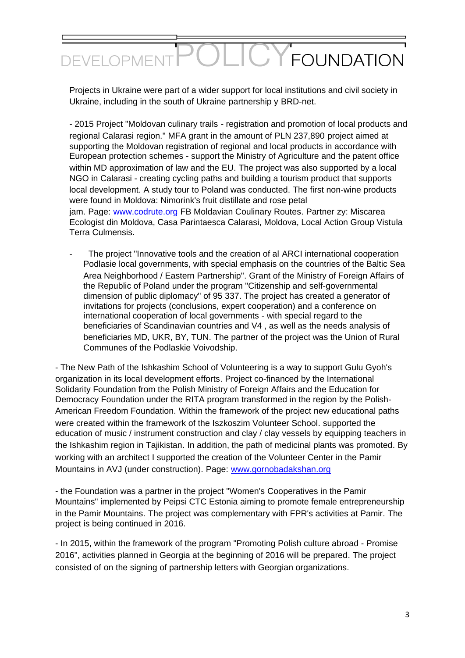#### $\overline{C}$ **FOUNDATION** DEVELOPME

Projects in Ukraine were part of a wider support for local institutions and civil society in Ukraine, including in the south of Ukraine partnership y BRD-net.

- 2015 Project "Moldovan culinary trails - registration and promotion of local products and regional Calarasi region." MFA grant in the amount of PLN 237,890 project aimed at supporting the Moldovan registration of regional and local products in accordance with European protection schemes - support the Ministry of Agriculture and the patent office within MD approximation of law and the EU. The project was also supported by a local NGO in Calarasi - creating cycling paths and building a tourism product that supports local development. A study tour to Poland was conducted. The first non-wine products were found in Moldova: Nimorink's fruit distillate and rose petal jam. Page: [www.codrute.org](https://translate.google.com/translate?hl=pl&prev=_t&sl=pl&tl=en&u=http://www.codrute.org) FB Moldavian Coulinary Routes. Partner zy: Miscarea Ecologist din Moldova, Casa Parintaesca Calarasi, Moldova, Local Action Group Vistula Terra Culmensis.

The project "Innovative tools and the creation of al ARCI international cooperation Podlasie local governments, with special emphasis on the countries of the Baltic Sea Area Neighborhood / Eastern Partnership". Grant of the Ministry of Foreign Affairs of the Republic of Poland under the program "Citizenship and self-governmental dimension of public diplomacy" of 95 337. The project has created a generator of invitations for projects (conclusions, expert cooperation) and a conference on international cooperation of local governments - with special regard to the beneficiaries of Scandinavian countries and V4 , as well as the needs analysis of beneficiaries MD, UKR, BY, TUN. The partner of the project was the Union of Rural Communes of the Podlaskie Voivodship.

- The New Path of the Ishkashim School of Volunteering is a way to support Gulu Gyoh's organization in its local development efforts. Project co-financed by the International Solidarity Foundation from the Polish Ministry of Foreign Affairs and the Education for Democracy Foundation under the RITA program transformed in the region by the Polish-American Freedom Foundation. Within the framework of the project new educational paths were created within the framework of the Iszkoszim Volunteer School. supported the education of music / instrument construction and clay / clay vessels by equipping teachers in the Ishkashim region in Tajikistan. In addition, the path of medicinal plants was promoted. By working with an architect I supported the creation of the Volunteer Center in the Pamir Mountains in AVJ (under construction). Page: [www.gornobadakshan.org](https://translate.google.com/translate?hl=pl&prev=_t&sl=pl&tl=en&u=http://www.gornobadakshan.org)

- the Foundation was a partner in the project "Women's Cooperatives in the Pamir Mountains" implemented by Peipsi CTC Estonia aiming to promote female entrepreneurship in the Pamir Mountains. The project was complementary with FPR's activities at Pamir. The project is being continued in 2016.

- In 2015, within the framework of the program "Promoting Polish culture abroad - Promise 2016", activities planned in Georgia at the beginning of 2016 will be prepared. The project consisted of on the signing of partnership letters with Georgian organizations.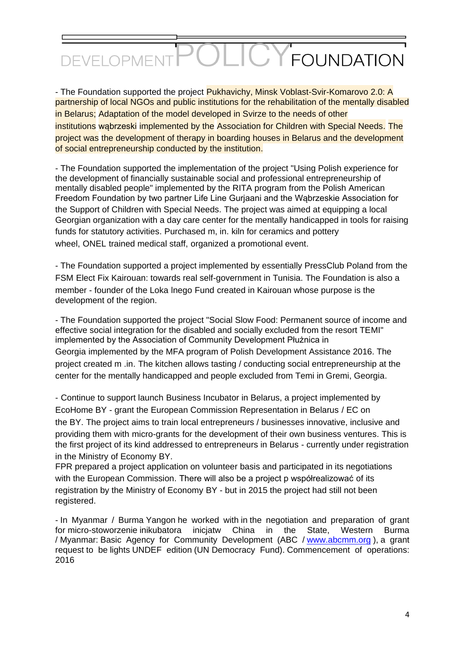#### $\bigcap$ **Y FOUNDATION** DEVELOPMEI

- The Foundation supported the project Pukhavichy, Minsk Voblast-Svir-Komarovo 2.0: A partnership of local NGOs and public institutions for the rehabilitation of the mentally disabled in Belarus; Adaptation of the model developed in Svirze to the needs of other institutions wąbrzeski implemented by the Association for Children with Special Needs. The project was the development of therapy in boarding houses in Belarus and the development of social entrepreneurship conducted by the institution.

- The Foundation supported the implementation of the project "Using Polish experience for the development of financially sustainable social and professional entrepreneurship of mentally disabled people" implemented by the RITA program from the Polish American Freedom Foundation by two partner Life Line Gurjaani and the Wąbrzeskie Association for the Support of Children with Special Needs. The project was aimed at equipping a local Georgian organization with a day care center for the mentally handicapped in tools for raising funds for statutory activities. Purchased m, in. kiln for ceramics and pottery wheel, ONEL trained medical staff, organized a promotional event.

- The Foundation supported a project implemented by essentially PressClub Poland from the FSM Elect Fix Kairouan: towards real self-government in Tunisia. The Foundation is also a member - founder of the Loka lnego Fund created in Kairouan whose purpose is the development of the region.

- The Foundation supported the project "Social Slow Food: Permanent source of income and effective social integration for the disabled and socially excluded from the resort TEMI" implemented by the Association of Community Development Płużnica in Georgia implemented by the MFA program of Polish Development Assistance 2016. The project created m .in. The kitchen allows tasting / conducting social entrepreneurship at the center for the mentally handicapped and people excluded from Temi in Gremi, Georgia.

- Continue to support launch Business Incubator in Belarus, a project implemented by EcoHome BY - grant the European Commission Representation in Belarus / EC on the BY. The project aims to train local entrepreneurs / businesses innovative, inclusive and providing them with micro-grants for the development of their own business ventures. This is the first project of its kind addressed to entrepreneurs in Belarus - currently under registration in the Ministry of Economy BY.

FPR prepared a project application on volunteer basis and participated in its negotiations with the European Commission. There will also be a project p współrealizować of its registration by the Ministry of Economy BY - but in 2015 the project had still not been registered.

- In Myanmar / Burma Yangon he worked with in the negotiation and preparation of grant for micro-stoworzenie inikubatora inicjatw China in the State, Western Burma / Myanmar: Basic Agency for Community Development (ABC / [www.abcmm.org](https://translate.google.com/translate?hl=pl&prev=_t&sl=pl&tl=en&u=http://www.abcmm.org/)), a grant request to be lights UNDEF edition (UN Democracy Fund). Commencement of operations: 2016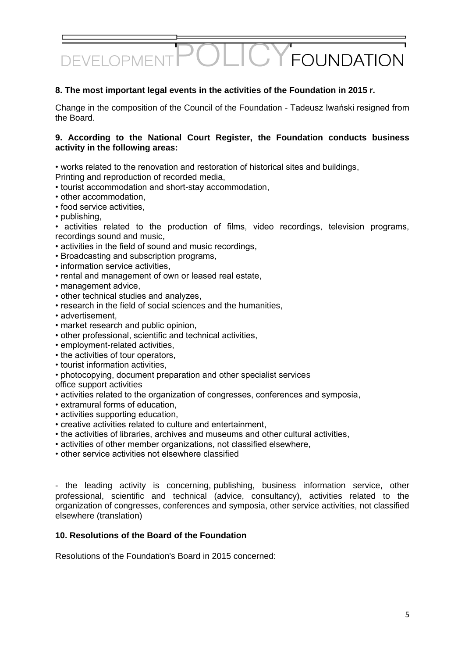#### **8. The most important legal events in the activities of the Foundation in 2015 r.**

Change in the composition of the Council of the Foundation - Tadeusz Iwański resigned from the Board.

#### **9. According to the National Court Register, the Foundation conducts business activity in the following areas:**

• works related to the renovation and restoration of historical sites and buildings,

- Printing and reproduction of recorded media,
- tourist accommodation and short-stay accommodation,
- other accommodation,
- food service activities,
- publishing,

• activities related to the production of films, video recordings, television programs, recordings sound and music,

- activities in the field of sound and music recordings,
- Broadcasting and subscription programs,
- information service activities,
- rental and management of own or leased real estate,
- management advice,
- other technical studies and analyzes,
- research in the field of social sciences and the humanities,
- advertisement,
- market research and public opinion,
- other professional, scientific and technical activities,
- employment-related activities,
- the activities of tour operators,
- tourist information activities,
- photocopying, document preparation and other specialist services

office support activities

- activities related to the organization of congresses, conferences and symposia,
- extramural forms of education,
- activities supporting education,
- creative activities related to culture and entertainment,
- the activities of libraries, archives and museums and other cultural activities,
- activities of other member organizations, not classified elsewhere,
- other service activities not elsewhere classified

- the leading activity is concerning, publishing, business information service, other professional, scientific and technical (advice, consultancy), activities related to the organization of congresses, conferences and symposia, other service activities, not classified elsewhere (translation)

#### **10. Resolutions of the Board of the Foundation**

Resolutions of the Foundation's Board in 2015 concerned: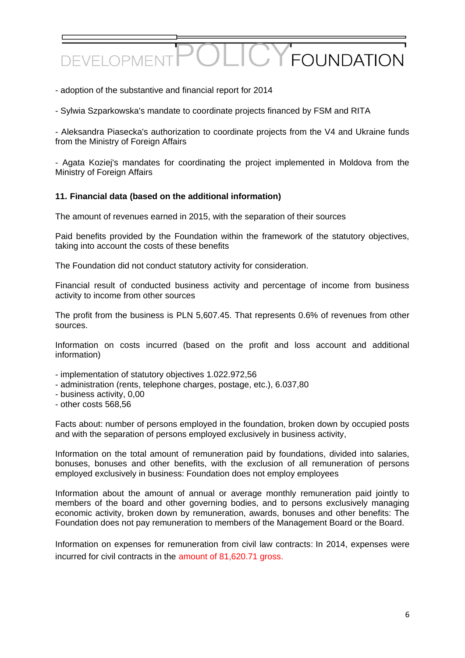- adoption of the substantive and financial report for 2014

- Sylwia Szparkowska's mandate to coordinate projects financed by FSM and RITA

- Aleksandra Piasecka's authorization to coordinate projects from the V4 and Ukraine funds from the Ministry of Foreign Affairs

- Agata Koziej's mandates for coordinating the project implemented in Moldova from the Ministry of Foreign Affairs

#### **11. Financial data (based on the additional information)**

The amount of revenues earned in 2015, with the separation of their sources

Paid benefits provided by the Foundation within the framework of the statutory objectives, taking into account the costs of these benefits

The Foundation did not conduct statutory activity for consideration.

Financial result of conducted business activity and percentage of income from business activity to income from other sources

The profit from the business is PLN 5,607.45. That represents 0.6% of revenues from other sources.

Information on costs incurred (based on the profit and loss account and additional information)

- implementation of statutory objectives 1.022.972,56
- administration (rents, telephone charges, postage, etc.), 6.037,80
- business activity, 0,00
- other costs 568,56

Facts about: number of persons employed in the foundation, broken down by occupied posts and with the separation of persons employed exclusively in business activity,

Information on the total amount of remuneration paid by foundations, divided into salaries, bonuses, bonuses and other benefits, with the exclusion of all remuneration of persons employed exclusively in business: Foundation does not employ employees

Information about the amount of annual or average monthly remuneration paid jointly to members of the board and other governing bodies, and to persons exclusively managing economic activity, broken down by remuneration, awards, bonuses and other benefits: The Foundation does not pay remuneration to members of the Management Board or the Board.

Information on expenses for remuneration from civil law contracts: In 2014, expenses were incurred for civil contracts in the amount of 81,620.71 gross.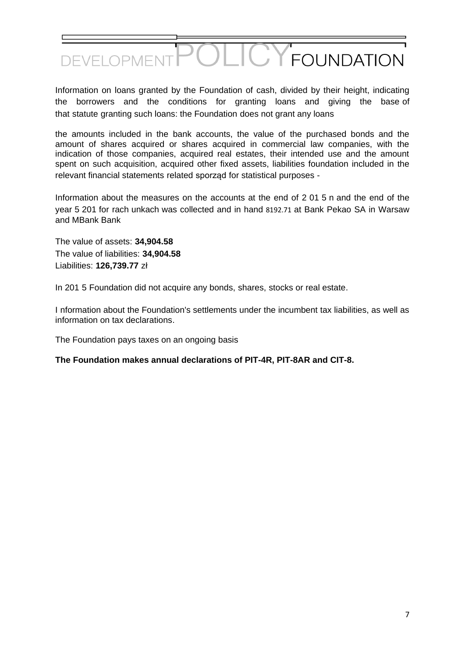

Information on loans granted by the Foundation of cash, divided by their height, indicating the borrowers and the conditions for granting loans and giving the base of that statute granting such loans: the Foundation does not grant any loans

the amounts included in the bank accounts, the value of the purchased bonds and the amount of shares acquired or shares acquired in commercial law companies, with the indication of those companies, acquired real estates, their intended use and the amount spent on such acquisition, acquired other fixed assets, liabilities foundation included in the relevant financial statements related sporząd for statistical purposes -

Information about the measures on the accounts at the end of 2 01 5 n and the end of the year 5 201 for rach unkach was collected and in hand 8192.71 at Bank Pekao SA in Warsaw and MBank Bank

The value of assets: **34,904.58** The value of liabilities: **34,904.58** Liabilities: **126,739.77** zł

In 201 5 Foundation did not acquire any bonds, shares, stocks or real estate.

I nformation about the Foundation's settlements under the incumbent tax liabilities, as well as information on tax declarations.

The Foundation pays taxes on an ongoing basis

**The Foundation makes annual declarations of PIT-4R, PIT-8AR and CIT-8.**